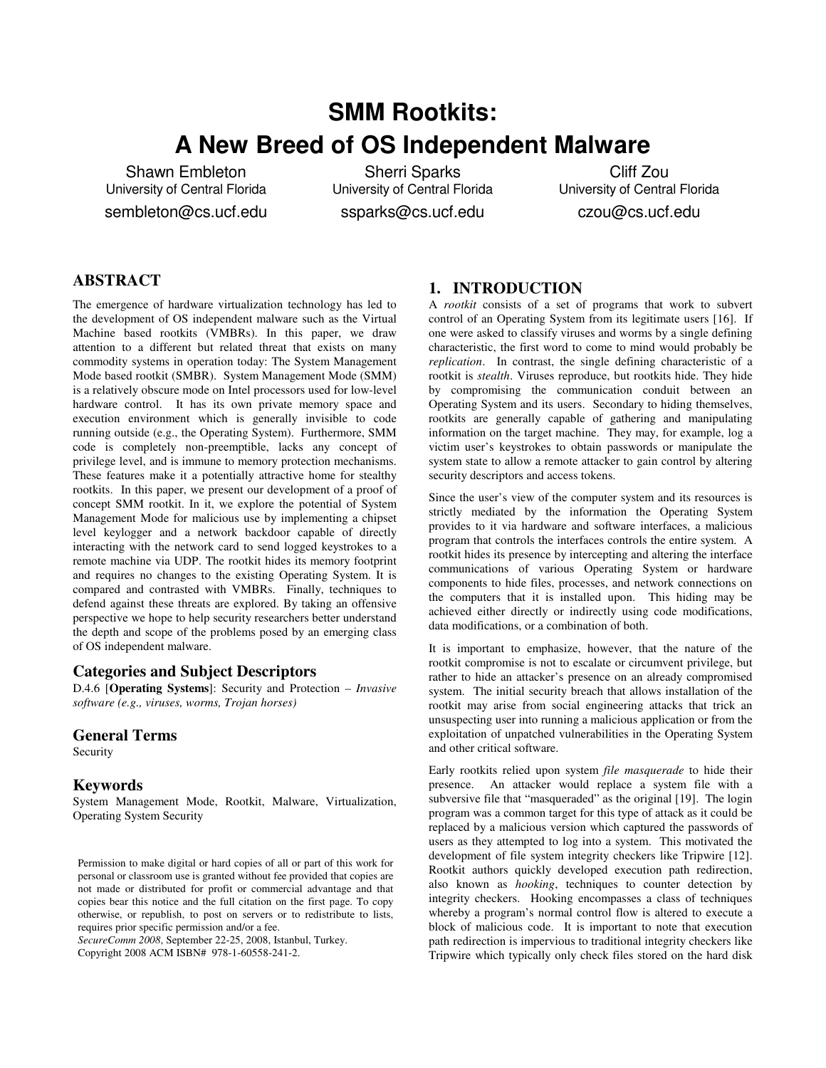# **SMM Rootkits: A New Breed of OS Independent Malware**

Shawn Embleton University of Central Florida sembleton@cs.ucf.edu

Sherri Sparks University of Central Florida ssparks@cs.ucf.edu

Cliff Zou University of Central Florida czou@cs.ucf.edu

# **ABSTRACT**

The emergence of hardware virtualization technology has led to the development of OS independent malware such as the Virtual Machine based rootkits (VMBRs). In this paper, we draw attention to a different but related threat that exists on many commodity systems in operation today: The System Management Mode based rootkit (SMBR). System Management Mode (SMM) is a relatively obscure mode on Intel processors used for low-level hardware control. It has its own private memory space and execution environment which is generally invisible to code running outside (e.g., the Operating System). Furthermore, SMM code is completely non-preemptible, lacks any concept of privilege level, and is immune to memory protection mechanisms. These features make it a potentially attractive home for stealthy rootkits. In this paper, we present our development of a proof of concept SMM rootkit. In it, we explore the potential of System Management Mode for malicious use by implementing a chipset level keylogger and a network backdoor capable of directly interacting with the network card to send logged keystrokes to a remote machine via UDP. The rootkit hides its memory footprint and requires no changes to the existing Operating System. It is compared and contrasted with VMBRs. Finally, techniques to defend against these threats are explored. By taking an offensive perspective we hope to help security researchers better understand the depth and scope of the problems posed by an emerging class of OS independent malware.

#### **Categories and Subject Descriptors**

D.4.6 [**Operating Systems**]: Security and Protection – *Invasive software (e.g., viruses, worms, Trojan horses)*

#### **General Terms**

Security

#### **Keywords**

System Management Mode, Rootkit, Malware, Virtualization, Operating System Security

*SecureComm 2008*, September 22-25, 2008, Istanbul, Turkey. Copyright 2008 ACM ISBN# 978-1-60558-241-2.

#### **1. INTRODUCTION**

A *rootkit* consists of a set of programs that work to subvert control of an Operating System from its legitimate users [16]. If one were asked to classify viruses and worms by a single defining characteristic, the first word to come to mind would probably be *replication*. In contrast, the single defining characteristic of a rootkit is *stealth*. Viruses reproduce, but rootkits hide. They hide by compromising the communication conduit between an Operating System and its users. Secondary to hiding themselves, rootkits are generally capable of gathering and manipulating information on the target machine. They may, for example, log a victim user's keystrokes to obtain passwords or manipulate the system state to allow a remote attacker to gain control by altering security descriptors and access tokens.

Since the user's view of the computer system and its resources is strictly mediated by the information the Operating System provides to it via hardware and software interfaces, a malicious program that controls the interfaces controls the entire system. A rootkit hides its presence by intercepting and altering the interface communications of various Operating System or hardware components to hide files, processes, and network connections on the computers that it is installed upon. This hiding may be achieved either directly or indirectly using code modifications, data modifications, or a combination of both.

It is important to emphasize, however, that the nature of the rootkit compromise is not to escalate or circumvent privilege, but rather to hide an attacker's presence on an already compromised system. The initial security breach that allows installation of the rootkit may arise from social engineering attacks that trick an unsuspecting user into running a malicious application or from the exploitation of unpatched vulnerabilities in the Operating System and other critical software.

Early rootkits relied upon system *file masquerade* to hide their presence. An attacker would replace a system file with a subversive file that "masqueraded" as the original [19]. The login program was a common target for this type of attack as it could be replaced by a malicious version which captured the passwords of users as they attempted to log into a system. This motivated the development of file system integrity checkers like Tripwire [12]. Rootkit authors quickly developed execution path redirection, also known as *hooking*, techniques to counter detection by integrity checkers. Hooking encompasses a class of techniques whereby a program's normal control flow is altered to execute a block of malicious code. It is important to note that execution path redirection is impervious to traditional integrity checkers like Tripwire which typically only check files stored on the hard disk

Permission to make digital or hard copies of all or part of this work for personal or classroom use is granted without fee provided that copies are not made or distributed for profit or commercial advantage and that copies bear this notice and the full citation on the first page. To copy otherwise, or republish, to post on servers or to redistribute to lists, requires prior specific permission and/or a fee.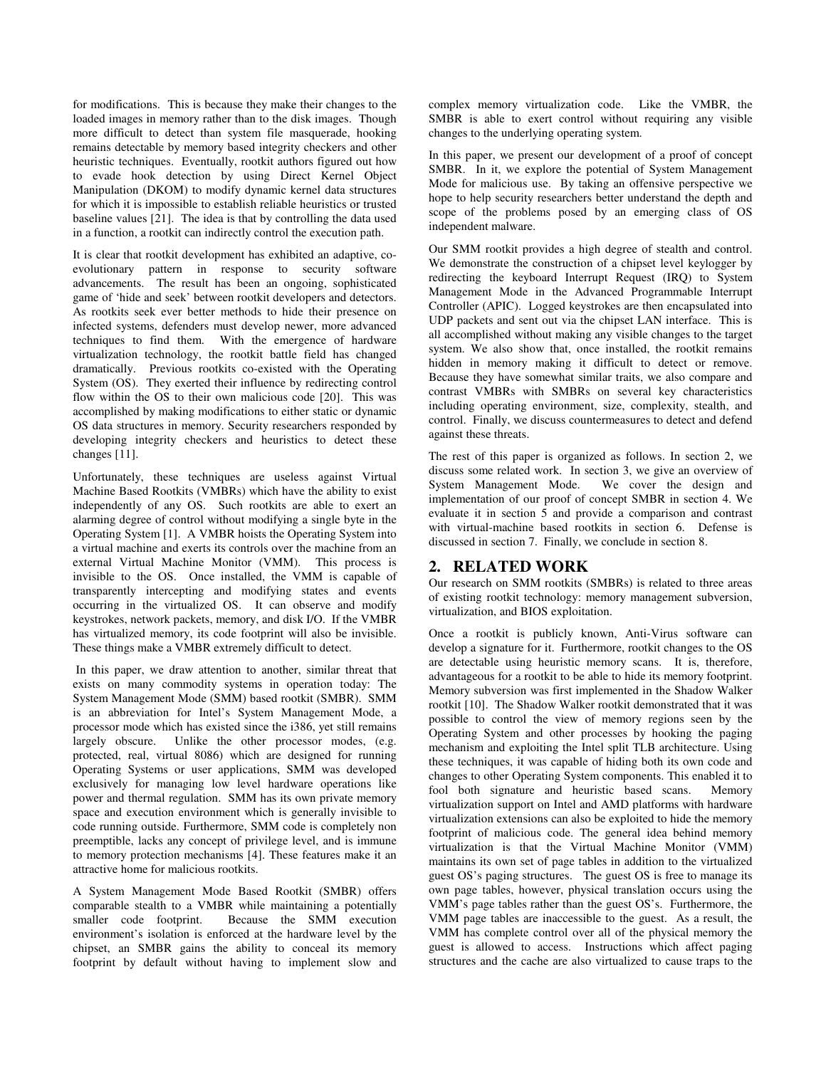for modifications. This is because they make their changes to the loaded images in memory rather than to the disk images. Though more difficult to detect than system file masquerade, hooking remains detectable by memory based integrity checkers and other heuristic techniques. Eventually, rootkit authors figured out how to evade hook detection by using Direct Kernel Object Manipulation (DKOM) to modify dynamic kernel data structures for which it is impossible to establish reliable heuristics or trusted baseline values [21]. The idea is that by controlling the data used in a function, a rootkit can indirectly control the execution path.

It is clear that rootkit development has exhibited an adaptive, coevolutionary pattern in response to security software advancements. The result has been an ongoing, sophisticated game of 'hide and seek' between rootkit developers and detectors. As rootkits seek ever better methods to hide their presence on infected systems, defenders must develop newer, more advanced techniques to find them. With the emergence of hardware virtualization technology, the rootkit battle field has changed dramatically. Previous rootkits co-existed with the Operating System (OS). They exerted their influence by redirecting control flow within the OS to their own malicious code [20]. This was accomplished by making modifications to either static or dynamic OS data structures in memory. Security researchers responded by developing integrity checkers and heuristics to detect these changes [11].

Unfortunately, these techniques are useless against Virtual Machine Based Rootkits (VMBRs) which have the ability to exist independently of any OS. Such rootkits are able to exert an alarming degree of control without modifying a single byte in the Operating System [1]. A VMBR hoists the Operating System into a virtual machine and exerts its controls over the machine from an external Virtual Machine Monitor (VMM). This process is invisible to the OS. Once installed, the VMM is capable of transparently intercepting and modifying states and events occurring in the virtualized OS. It can observe and modify keystrokes, network packets, memory, and disk I/O. If the VMBR has virtualized memory, its code footprint will also be invisible. These things make a VMBR extremely difficult to detect.

In this paper, we draw attention to another, similar threat that exists on many commodity systems in operation today: The System Management Mode (SMM) based rootkit (SMBR). SMM is an abbreviation for Intel's System Management Mode, a processor mode which has existed since the i386, yet still remains largely obscure. Unlike the other processor modes, (e.g. protected, real, virtual 8086) which are designed for running Operating Systems or user applications, SMM was developed exclusively for managing low level hardware operations like power and thermal regulation. SMM has its own private memory space and execution environment which is generally invisible to code running outside. Furthermore, SMM code is completely non preemptible, lacks any concept of privilege level, and is immune to memory protection mechanisms [4]. These features make it an attractive home for malicious rootkits.

A System Management Mode Based Rootkit (SMBR) offers comparable stealth to a VMBR while maintaining a potentially smaller code footprint. Because the SMM execution Because the SMM execution environment's isolation is enforced at the hardware level by the chipset, an SMBR gains the ability to conceal its memory footprint by default without having to implement slow and complex memory virtualization code. Like the VMBR, the SMBR is able to exert control without requiring any visible changes to the underlying operating system.

In this paper, we present our development of a proof of concept SMBR. In it, we explore the potential of System Management Mode for malicious use. By taking an offensive perspective we hope to help security researchers better understand the depth and scope of the problems posed by an emerging class of OS independent malware.

Our SMM rootkit provides a high degree of stealth and control. We demonstrate the construction of a chipset level keylogger by redirecting the keyboard Interrupt Request (IRQ) to System Management Mode in the Advanced Programmable Interrupt Controller (APIC). Logged keystrokes are then encapsulated into UDP packets and sent out via the chipset LAN interface. This is all accomplished without making any visible changes to the target system. We also show that, once installed, the rootkit remains hidden in memory making it difficult to detect or remove. Because they have somewhat similar traits, we also compare and contrast VMBRs with SMBRs on several key characteristics including operating environment, size, complexity, stealth, and control. Finally, we discuss countermeasures to detect and defend against these threats.

The rest of this paper is organized as follows. In section 2, we discuss some related work. In section 3, we give an overview of System Management Mode. We cover the design and implementation of our proof of concept SMBR in section 4. We evaluate it in section 5 and provide a comparison and contrast with virtual-machine based rootkits in section 6. Defense is discussed in section 7. Finally, we conclude in section 8.

# **2. RELATED WORK**

Our research on SMM rootkits (SMBRs) is related to three areas of existing rootkit technology: memory management subversion, virtualization, and BIOS exploitation.

Once a rootkit is publicly known, Anti-Virus software can develop a signature for it. Furthermore, rootkit changes to the OS are detectable using heuristic memory scans. It is, therefore, advantageous for a rootkit to be able to hide its memory footprint. Memory subversion was first implemented in the Shadow Walker rootkit [10]. The Shadow Walker rootkit demonstrated that it was possible to control the view of memory regions seen by the Operating System and other processes by hooking the paging mechanism and exploiting the Intel split TLB architecture. Using these techniques, it was capable of hiding both its own code and changes to other Operating System components. This enabled it to fool both signature and heuristic based scans. Memory virtualization support on Intel and AMD platforms with hardware virtualization extensions can also be exploited to hide the memory footprint of malicious code. The general idea behind memory virtualization is that the Virtual Machine Monitor (VMM) maintains its own set of page tables in addition to the virtualized guest OS's paging structures. The guest OS is free to manage its own page tables, however, physical translation occurs using the VMM's page tables rather than the guest OS's. Furthermore, the VMM page tables are inaccessible to the guest. As a result, the VMM has complete control over all of the physical memory the guest is allowed to access. Instructions which affect paging structures and the cache are also virtualized to cause traps to the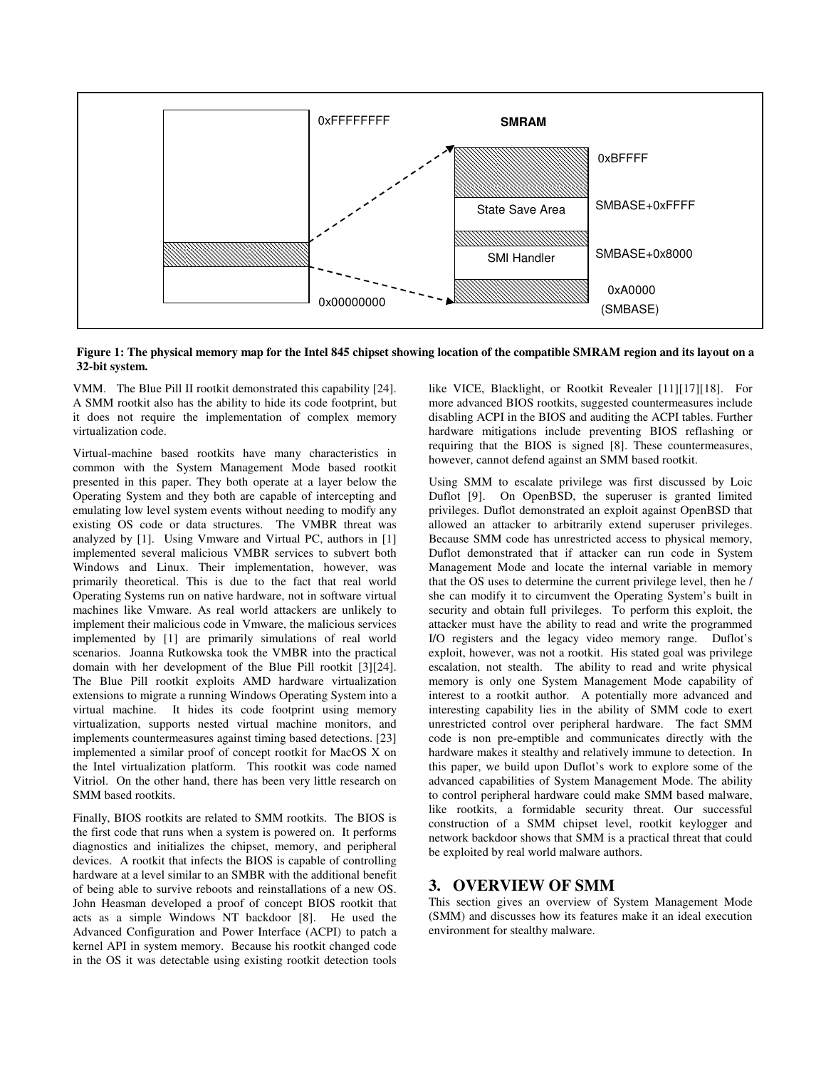

Figure 1: The physical memory map for the Intel 845 chipset showing location of the compatible SMRAM region and its layout on a **32-bit system.**

VMM. The Blue Pill II rootkit demonstrated this capability [24]. A SMM rootkit also has the ability to hide its code footprint, but it does not require the implementation of complex memory virtualization code.

Virtual-machine based rootkits have many characteristics in common with the System Management Mode based rootkit presented in this paper. They both operate at a layer below the Operating System and they both are capable of intercepting and emulating low level system events without needing to modify any existing OS code or data structures. The VMBR threat was analyzed by [1]. Using Vmware and Virtual PC, authors in [1] implemented several malicious VMBR services to subvert both Windows and Linux. Their implementation, however, was primarily theoretical. This is due to the fact that real world Operating Systems run on native hardware, not in software virtual machines like Vmware. As real world attackers are unlikely to implement their malicious code in Vmware, the malicious services implemented by [1] are primarily simulations of real world scenarios. Joanna Rutkowska took the VMBR into the practical domain with her development of the Blue Pill rootkit [3][24]. The Blue Pill rootkit exploits AMD hardware virtualization extensions to migrate a running Windows Operating System into a virtual machine. It hides its code footprint using memory virtualization, supports nested virtual machine monitors, and implements countermeasures against timing based detections. [23] implemented a similar proof of concept rootkit for MacOS X on the Intel virtualization platform. This rootkit was code named Vitriol. On the other hand, there has been very little research on SMM based rootkits.

Finally, BIOS rootkits are related to SMM rootkits. The BIOS is the first code that runs when a system is powered on. It performs diagnostics and initializes the chipset, memory, and peripheral devices. A rootkit that infects the BIOS is capable of controlling hardware at a level similar to an SMBR with the additional benefit of being able to survive reboots and reinstallations of a new OS. John Heasman developed a proof of concept BIOS rootkit that acts as a simple Windows NT backdoor [8]. He used the Advanced Configuration and Power Interface (ACPI) to patch a kernel API in system memory. Because his rootkit changed code in the OS it was detectable using existing rootkit detection tools

like VICE, Blacklight, or Rootkit Revealer [11][17][18]. For more advanced BIOS rootkits, suggested countermeasures include disabling ACPI in the BIOS and auditing the ACPI tables. Further hardware mitigations include preventing BIOS reflashing or requiring that the BIOS is signed [8]. These countermeasures, however, cannot defend against an SMM based rootkit.

Using SMM to escalate privilege was first discussed by Loic Duflot [9]. On OpenBSD, the superuser is granted limited privileges. Duflot demonstrated an exploit against OpenBSD that allowed an attacker to arbitrarily extend superuser privileges. Because SMM code has unrestricted access to physical memory, Duflot demonstrated that if attacker can run code in System Management Mode and locate the internal variable in memory that the OS uses to determine the current privilege level, then he / she can modify it to circumvent the Operating System's built in security and obtain full privileges. To perform this exploit, the attacker must have the ability to read and write the programmed I/O registers and the legacy video memory range. Duflot's exploit, however, was not a rootkit. His stated goal was privilege escalation, not stealth. The ability to read and write physical memory is only one System Management Mode capability of interest to a rootkit author. A potentially more advanced and interesting capability lies in the ability of SMM code to exert unrestricted control over peripheral hardware. The fact SMM code is non pre-emptible and communicates directly with the hardware makes it stealthy and relatively immune to detection. In this paper, we build upon Duflot's work to explore some of the advanced capabilities of System Management Mode. The ability to control peripheral hardware could make SMM based malware, like rootkits, a formidable security threat. Our successful construction of a SMM chipset level, rootkit keylogger and network backdoor shows that SMM is a practical threat that could be exploited by real world malware authors.

# **3. OVERVIEW OF SMM**

This section gives an overview of System Management Mode (SMM) and discusses how its features make it an ideal execution environment for stealthy malware.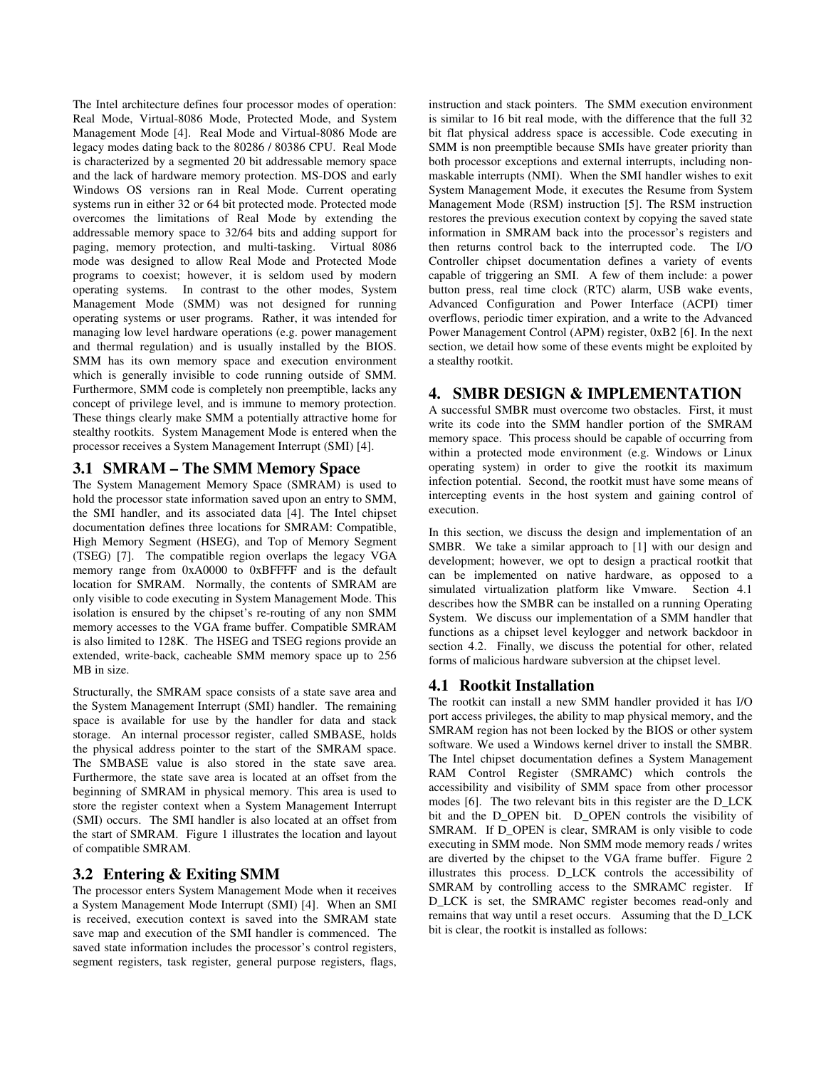The Intel architecture defines four processor modes of operation: Real Mode, Virtual-8086 Mode, Protected Mode, and System Management Mode [4]. Real Mode and Virtual-8086 Mode are legacy modes dating back to the 80286 / 80386 CPU. Real Mode is characterized by a segmented 20 bit addressable memory space and the lack of hardware memory protection. MS-DOS and early Windows OS versions ran in Real Mode. Current operating systems run in either 32 or 64 bit protected mode. Protected mode overcomes the limitations of Real Mode by extending the addressable memory space to 32/64 bits and adding support for paging, memory protection, and multi-tasking. Virtual 8086 mode was designed to allow Real Mode and Protected Mode programs to coexist; however, it is seldom used by modern operating systems. In contrast to the other modes, System Management Mode (SMM) was not designed for running operating systems or user programs. Rather, it was intended for managing low level hardware operations (e.g. power management and thermal regulation) and is usually installed by the BIOS. SMM has its own memory space and execution environment which is generally invisible to code running outside of SMM. Furthermore, SMM code is completely non preemptible, lacks any concept of privilege level, and is immune to memory protection. These things clearly make SMM a potentially attractive home for stealthy rootkits. System Management Mode is entered when the processor receives a System Management Interrupt (SMI) [4].

# **3.1 SMRAM – The SMM Memory Space**

The System Management Memory Space (SMRAM) is used to hold the processor state information saved upon an entry to SMM, the SMI handler, and its associated data [4]. The Intel chipset documentation defines three locations for SMRAM: Compatible, High Memory Segment (HSEG), and Top of Memory Segment (TSEG) [7]. The compatible region overlaps the legacy VGA memory range from 0xA0000 to 0xBFFFF and is the default location for SMRAM. Normally, the contents of SMRAM are only visible to code executing in System Management Mode. This isolation is ensured by the chipset's re-routing of any non SMM memory accesses to the VGA frame buffer. Compatible SMRAM is also limited to 128K. The HSEG and TSEG regions provide an extended, write-back, cacheable SMM memory space up to 256 MB in size.

Structurally, the SMRAM space consists of a state save area and the System Management Interrupt (SMI) handler. The remaining space is available for use by the handler for data and stack storage. An internal processor register, called SMBASE, holds the physical address pointer to the start of the SMRAM space. The SMBASE value is also stored in the state save area. Furthermore, the state save area is located at an offset from the beginning of SMRAM in physical memory. This area is used to store the register context when a System Management Interrupt (SMI) occurs. The SMI handler is also located at an offset from the start of SMRAM. Figure 1 illustrates the location and layout of compatible SMRAM.

# **3.2 Entering & Exiting SMM**

The processor enters System Management Mode when it receives a System Management Mode Interrupt (SMI) [4]. When an SMI is received, execution context is saved into the SMRAM state save map and execution of the SMI handler is commenced. The saved state information includes the processor's control registers, segment registers, task register, general purpose registers, flags,

instruction and stack pointers. The SMM execution environment is similar to 16 bit real mode, with the difference that the full 32 bit flat physical address space is accessible. Code executing in SMM is non preemptible because SMIs have greater priority than both processor exceptions and external interrupts, including nonmaskable interrupts (NMI). When the SMI handler wishes to exit System Management Mode, it executes the Resume from System Management Mode (RSM) instruction [5]. The RSM instruction restores the previous execution context by copying the saved state information in SMRAM back into the processor's registers and then returns control back to the interrupted code. The I/O Controller chipset documentation defines a variety of events capable of triggering an SMI. A few of them include: a power button press, real time clock (RTC) alarm, USB wake events, Advanced Configuration and Power Interface (ACPI) timer overflows, periodic timer expiration, and a write to the Advanced Power Management Control (APM) register, 0xB2 [6]. In the next section, we detail how some of these events might be exploited by a stealthy rootkit.

# **4. SMBR DESIGN & IMPLEMENTATION**

A successful SMBR must overcome two obstacles. First, it must write its code into the SMM handler portion of the SMRAM memory space. This process should be capable of occurring from within a protected mode environment (e.g. Windows or Linux operating system) in order to give the rootkit its maximum infection potential. Second, the rootkit must have some means of intercepting events in the host system and gaining control of execution.

In this section, we discuss the design and implementation of an SMBR. We take a similar approach to [1] with our design and development; however, we opt to design a practical rootkit that can be implemented on native hardware, as opposed to a simulated virtualization platform like Vmware. Section 4.1 describes how the SMBR can be installed on a running Operating System. We discuss our implementation of a SMM handler that functions as a chipset level keylogger and network backdoor in section 4.2. Finally, we discuss the potential for other, related forms of malicious hardware subversion at the chipset level.

# **4.1 Rootkit Installation**

The rootkit can install a new SMM handler provided it has I/O port access privileges, the ability to map physical memory, and the SMRAM region has not been locked by the BIOS or other system software. We used a Windows kernel driver to install the SMBR. The Intel chipset documentation defines a System Management RAM Control Register (SMRAMC) which controls the accessibility and visibility of SMM space from other processor modes [6]. The two relevant bits in this register are the D\_LCK bit and the D\_OPEN bit. D\_OPEN controls the visibility of SMRAM. If D\_OPEN is clear, SMRAM is only visible to code executing in SMM mode. Non SMM mode memory reads / writes are diverted by the chipset to the VGA frame buffer. Figure 2 illustrates this process. D\_LCK controls the accessibility of SMRAM by controlling access to the SMRAMC register. If D\_LCK is set, the SMRAMC register becomes read-only and remains that way until a reset occurs. Assuming that the D\_LCK bit is clear, the rootkit is installed as follows: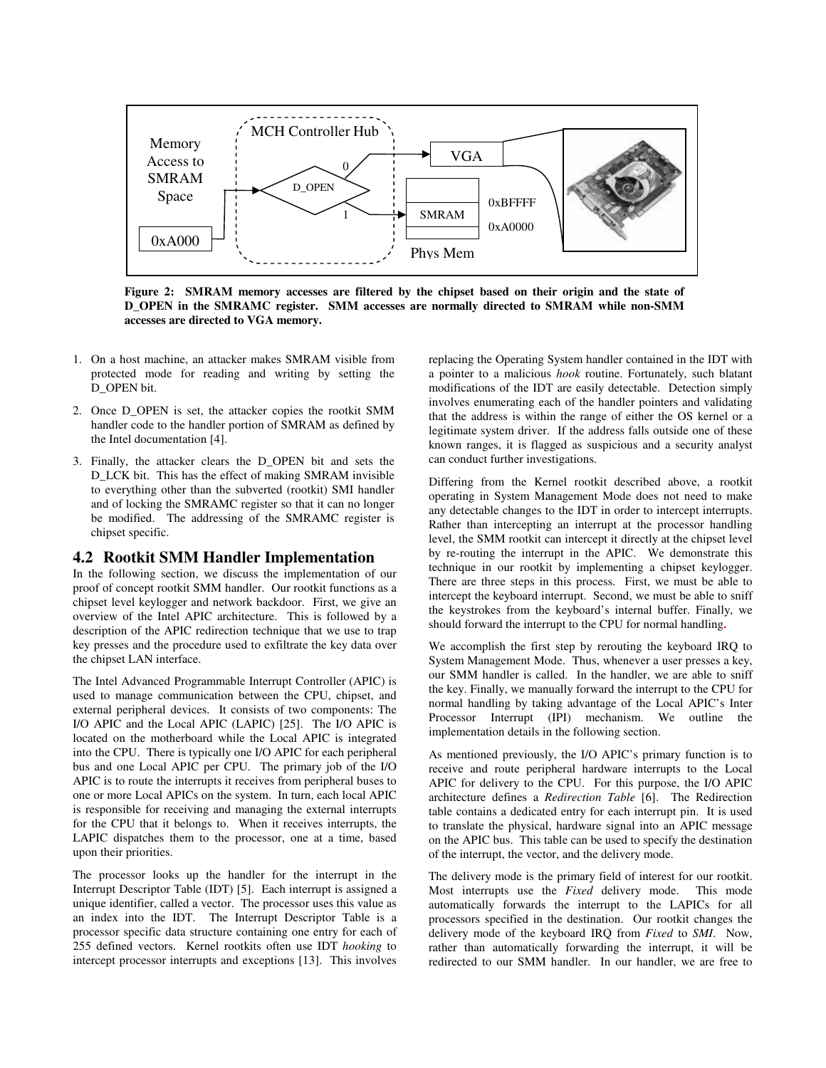

**Figure 2: SMRAM memory accesses are filtered by the chipset based on their origin and the state of D\_OPEN in the SMRAMC register. SMM accesses are normally directed to SMRAM while non-SMM accesses are directed to VGA memory.**

- 1. On a host machine, an attacker makes SMRAM visible from protected mode for reading and writing by setting the D\_OPEN bit.
- 2. Once D\_OPEN is set, the attacker copies the rootkit SMM handler code to the handler portion of SMRAM as defined by the Intel documentation [4].
- 3. Finally, the attacker clears the D\_OPEN bit and sets the D\_LCK bit. This has the effect of making SMRAM invisible to everything other than the subverted (rootkit) SMI handler and of locking the SMRAMC register so that it can no longer be modified. The addressing of the SMRAMC register is chipset specific.

#### **4.2 Rootkit SMM Handler Implementation**

In the following section, we discuss the implementation of our proof of concept rootkit SMM handler. Our rootkit functions as a chipset level keylogger and network backdoor. First, we give an overview of the Intel APIC architecture. This is followed by a description of the APIC redirection technique that we use to trap key presses and the procedure used to exfiltrate the key data over the chipset LAN interface.

The Intel Advanced Programmable Interrupt Controller (APIC) is used to manage communication between the CPU, chipset, and external peripheral devices. It consists of two components: The I/O APIC and the Local APIC (LAPIC) [25]. The I/O APIC is located on the motherboard while the Local APIC is integrated into the CPU. There is typically one I/O APIC for each peripheral bus and one Local APIC per CPU. The primary job of the I/O APIC is to route the interrupts it receives from peripheral buses to one or more Local APICs on the system. In turn, each local APIC is responsible for receiving and managing the external interrupts for the CPU that it belongs to. When it receives interrupts, the LAPIC dispatches them to the processor, one at a time, based upon their priorities.

The processor looks up the handler for the interrupt in the Interrupt Descriptor Table (IDT) [5]. Each interrupt is assigned a unique identifier, called a vector. The processor uses this value as an index into the IDT. The Interrupt Descriptor Table is a processor specific data structure containing one entry for each of 255 defined vectors. Kernel rootkits often use IDT *hooking* to intercept processor interrupts and exceptions [13]. This involves

replacing the Operating System handler contained in the IDT with a pointer to a malicious *hook* routine. Fortunately, such blatant modifications of the IDT are easily detectable. Detection simply involves enumerating each of the handler pointers and validating that the address is within the range of either the OS kernel or a legitimate system driver. If the address falls outside one of these known ranges, it is flagged as suspicious and a security analyst can conduct further investigations.

Differing from the Kernel rootkit described above, a rootkit operating in System Management Mode does not need to make any detectable changes to the IDT in order to intercept interrupts. Rather than intercepting an interrupt at the processor handling level, the SMM rootkit can intercept it directly at the chipset level by re-routing the interrupt in the APIC. We demonstrate this technique in our rootkit by implementing a chipset keylogger. There are three steps in this process. First, we must be able to intercept the keyboard interrupt. Second, we must be able to sniff the keystrokes from the keyboard's internal buffer. Finally, we should forward the interrupt to the CPU for normal handling**.**

We accomplish the first step by rerouting the keyboard IRQ to System Management Mode. Thus, whenever a user presses a key, our SMM handler is called. In the handler, we are able to sniff the key. Finally, we manually forward the interrupt to the CPU for normal handling by taking advantage of the Local APIC's Inter Processor Interrupt (IPI) mechanism. We outline the implementation details in the following section.

As mentioned previously, the I/O APIC's primary function is to receive and route peripheral hardware interrupts to the Local APIC for delivery to the CPU. For this purpose, the I/O APIC architecture defines a *Redirection Table* [6]. The Redirection table contains a dedicated entry for each interrupt pin. It is used to translate the physical, hardware signal into an APIC message on the APIC bus. This table can be used to specify the destination of the interrupt, the vector, and the delivery mode.

The delivery mode is the primary field of interest for our rootkit. Most interrupts use the *Fixed* delivery mode. This mode automatically forwards the interrupt to the LAPICs for all processors specified in the destination. Our rootkit changes the delivery mode of the keyboard IRQ from *Fixed* to *SMI*. Now, rather than automatically forwarding the interrupt, it will be redirected to our SMM handler. In our handler, we are free to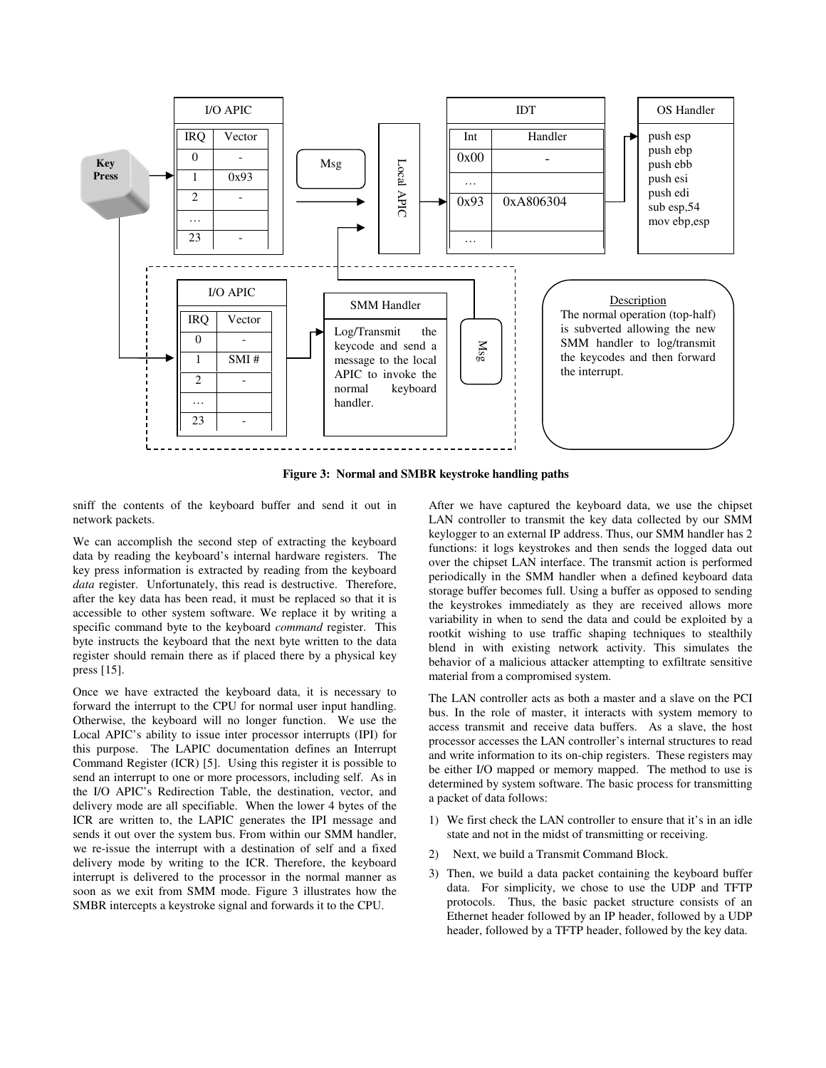

**Figure 3: Normal and SMBR keystroke handling paths**

sniff the contents of the keyboard buffer and send it out in network packets.

We can accomplish the second step of extracting the keyboard data by reading the keyboard's internal hardware registers. The key press information is extracted by reading from the keyboard *data* register. Unfortunately, this read is destructive. Therefore, after the key data has been read, it must be replaced so that it is accessible to other system software. We replace it by writing a specific command byte to the keyboard *command* register. This byte instructs the keyboard that the next byte written to the data register should remain there as if placed there by a physical key press [15].

Once we have extracted the keyboard data, it is necessary to forward the interrupt to the CPU for normal user input handling. Otherwise, the keyboard will no longer function. We use the Local APIC's ability to issue inter processor interrupts (IPI) for this purpose. The LAPIC documentation defines an Interrupt Command Register (ICR) [5]. Using this register it is possible to send an interrupt to one or more processors, including self. As in the I/O APIC's Redirection Table, the destination, vector, and delivery mode are all specifiable. When the lower 4 bytes of the ICR are written to, the LAPIC generates the IPI message and sends it out over the system bus. From within our SMM handler, we re-issue the interrupt with a destination of self and a fixed delivery mode by writing to the ICR. Therefore, the keyboard interrupt is delivered to the processor in the normal manner as soon as we exit from SMM mode. Figure 3 illustrates how the SMBR intercepts a keystroke signal and forwards it to the CPU.

After we have captured the keyboard data, we use the chipset LAN controller to transmit the key data collected by our SMM keylogger to an external IP address. Thus, our SMM handler has 2 functions: it logs keystrokes and then sends the logged data out over the chipset LAN interface. The transmit action is performed periodically in the SMM handler when a defined keyboard data storage buffer becomes full. Using a buffer as opposed to sending the keystrokes immediately as they are received allows more variability in when to send the data and could be exploited by a rootkit wishing to use traffic shaping techniques to stealthily blend in with existing network activity. This simulates the behavior of a malicious attacker attempting to exfiltrate sensitive material from a compromised system.

The LAN controller acts as both a master and a slave on the PCI bus. In the role of master, it interacts with system memory to access transmit and receive data buffers. As a slave, the host processor accesses the LAN controller's internal structures to read and write information to its on-chip registers. These registers may be either I/O mapped or memory mapped. The method to use is determined by system software. The basic process for transmitting a packet of data follows:

- 1) We first check the LAN controller to ensure that it's in an idle state and not in the midst of transmitting or receiving.
- 2) Next, we build a Transmit Command Block.
- 3) Then, we build a data packet containing the keyboard buffer data. For simplicity, we chose to use the UDP and TFTP protocols. Thus, the basic packet structure consists of an Ethernet header followed by an IP header, followed by a UDP header, followed by a TFTP header, followed by the key data.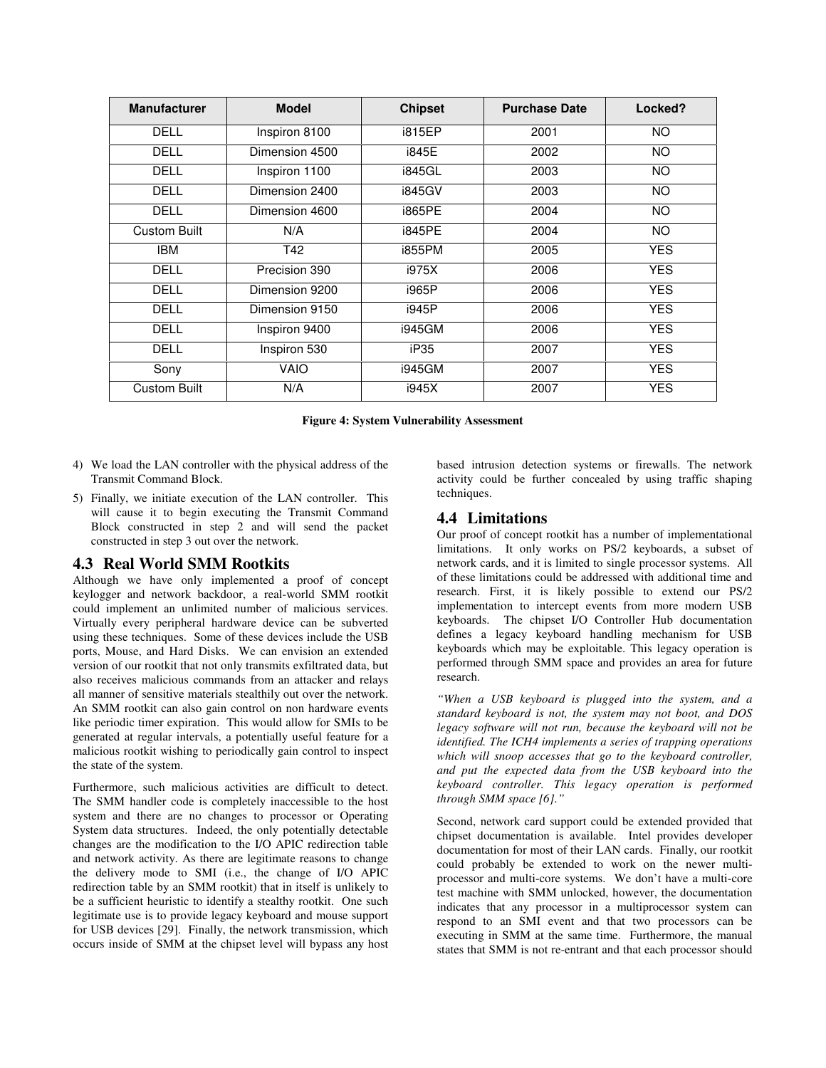| <b>Manufacturer</b> | <b>Model</b>   | <b>Chipset</b> | <b>Purchase Date</b> | Locked?    |
|---------------------|----------------|----------------|----------------------|------------|
| <b>DELL</b>         | Inspiron 8100  | i815EP         | 2001                 | <b>NO</b>  |
| <b>DELL</b>         | Dimension 4500 | i845E          | 2002                 | <b>NO</b>  |
| <b>DELL</b>         | Inspiron 1100  | i845GL         | 2003                 | <b>NO</b>  |
| <b>DELL</b>         | Dimension 2400 | i845GV         | 2003                 | NO.        |
| <b>DELL</b>         | Dimension 4600 | i865PE         | 2004                 | <b>NO</b>  |
| <b>Custom Built</b> | N/A            | i845PE         | 2004                 | <b>NO</b>  |
| <b>IBM</b>          | T42.           | i855PM         | 2005                 | <b>YES</b> |
| <b>DELL</b>         | Precision 390  | i975X          | 2006                 | <b>YES</b> |
| <b>DELL</b>         | Dimension 9200 | i965P          | 2006                 | <b>YES</b> |
| <b>DELL</b>         | Dimension 9150 | i945P          | 2006                 | <b>YES</b> |
| <b>DELL</b>         | Inspiron 9400  | i945GM         | 2006                 | <b>YES</b> |
| <b>DELL</b>         | Inspiron 530   | iP35           | 2007                 | <b>YES</b> |
| Sony                | VAIO           | i945GM         | 2007                 | <b>YES</b> |
| Custom Built        | N/A            | i945X          | 2007                 | <b>YES</b> |

| <b>Figure 4: System Vulnerability Assessment</b> |  |  |
|--------------------------------------------------|--|--|
|--------------------------------------------------|--|--|

- 4) We load the LAN controller with the physical address of the Transmit Command Block.
- 5) Finally, we initiate execution of the LAN controller. This will cause it to begin executing the Transmit Command Block constructed in step 2 and will send the packet constructed in step 3 out over the network.

#### **4.3 Real World SMM Rootkits**

Although we have only implemented a proof of concept keylogger and network backdoor, a real-world SMM rootkit could implement an unlimited number of malicious services. Virtually every peripheral hardware device can be subverted using these techniques. Some of these devices include the USB ports, Mouse, and Hard Disks. We can envision an extended version of our rootkit that not only transmits exfiltrated data, but also receives malicious commands from an attacker and relays all manner of sensitive materials stealthily out over the network. An SMM rootkit can also gain control on non hardware events like periodic timer expiration. This would allow for SMIs to be generated at regular intervals, a potentially useful feature for a malicious rootkit wishing to periodically gain control to inspect the state of the system.

Furthermore, such malicious activities are difficult to detect. The SMM handler code is completely inaccessible to the host system and there are no changes to processor or Operating System data structures. Indeed, the only potentially detectable changes are the modification to the I/O APIC redirection table and network activity. As there are legitimate reasons to change the delivery mode to SMI (i.e., the change of I/O APIC redirection table by an SMM rootkit) that in itself is unlikely to be a sufficient heuristic to identify a stealthy rootkit. One such legitimate use is to provide legacy keyboard and mouse support for USB devices [29]. Finally, the network transmission, which occurs inside of SMM at the chipset level will bypass any host

based intrusion detection systems or firewalls. The network activity could be further concealed by using traffic shaping techniques.

# **4.4 Limitations**

Our proof of concept rootkit has a number of implementational limitations. It only works on PS/2 keyboards, a subset of network cards, and it is limited to single processor systems. All of these limitations could be addressed with additional time and research. First, it is likely possible to extend our PS/2 implementation to intercept events from more modern USB keyboards. The chipset I/O Controller Hub documentation defines a legacy keyboard handling mechanism for USB keyboards which may be exploitable. This legacy operation is performed through SMM space and provides an area for future research.

*"When a USB keyboard is plugged into the system, and a standard keyboard is not, the system may not boot, and DOS legacy software will not run, because the keyboard will not be identified. The ICH4 implements a series of trapping operations which will snoop accesses that go to the keyboard controller, and put the expected data from the USB keyboard into the keyboard controller. This legacy operation is performed through SMM space [6]."*

Second, network card support could be extended provided that chipset documentation is available. Intel provides developer documentation for most of their LAN cards. Finally, our rootkit could probably be extended to work on the newer multiprocessor and multi-core systems. We don't have a multi-core test machine with SMM unlocked, however, the documentation indicates that any processor in a multiprocessor system can respond to an SMI event and that two processors can be executing in SMM at the same time. Furthermore, the manual states that SMM is not re-entrant and that each processor should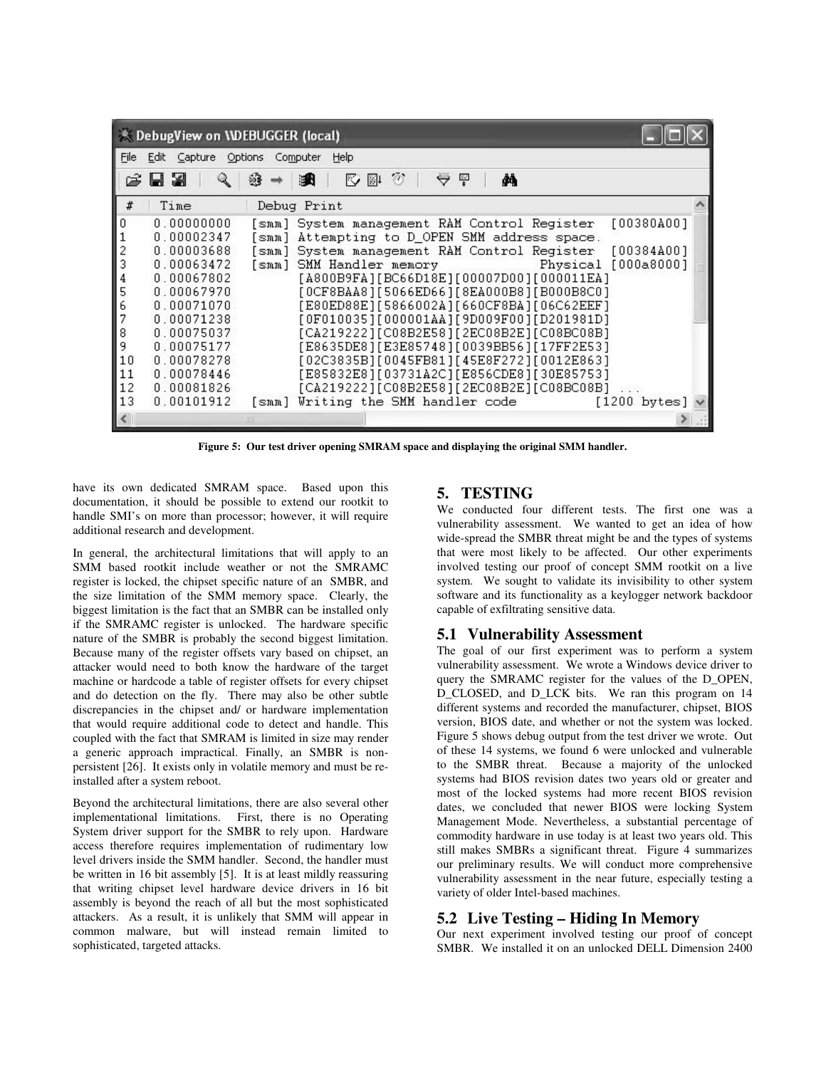| * DebugView on WDEBUGGER (local) |                                        |    |                                                                                                                                                        |  |  |  |
|----------------------------------|----------------------------------------|----|--------------------------------------------------------------------------------------------------------------------------------------------------------|--|--|--|
| File                             | Edit Capture Options Computer Help     |    |                                                                                                                                                        |  |  |  |
|                                  | $\approx$ H X                          | 83 | 2 国 で<br>γ₽<br>đА<br>÷H                                                                                                                                |  |  |  |
| #                                | Time                                   |    | Debug Print                                                                                                                                            |  |  |  |
| 0                                | 0.00000000<br>0.00002347               |    | [00380A00]<br>[smm] System management RAM Control Register<br>[smm] Attempting to D_OPEN SMM address space.                                            |  |  |  |
|                                  | 0.00003688<br>0.00063472<br>0.00067802 |    | [smm] System management RAM Control Register [00384A00]<br>[smm] SMM Handler memory<br>Physical [000a8000]<br>[A800B9FA][BC66D18E][00007D00][000011EA] |  |  |  |
| 6                                | 0.00067970<br>0.00071070<br>0.00071238 |    | [OCF8BAA8][5066ED66][8EA000B8][B000B8C0]<br>[E80ED88E][5866002A][660CF8BA][06C62EEF]<br>0F0100351f000001AA1f9D009F001fD201981D1                        |  |  |  |
|                                  | 0.00075037<br>0.00075177               |    | [CA219222][C08B2E58][2EC08B2E][C08BC08B]<br>[E8635DE8][E3E85748][0039BB56][17FF2E53]                                                                   |  |  |  |
| 10<br>11<br>12                   | 0.00078278<br>0.00078446<br>0.00081826 |    | [02C3835B][0045FB81][45E8F272][0012E863]<br>[E85832E8][03731A2C][E856CDE8][30E85753]<br>[CA219222][C08B2E58][2EC08B2E][C08BC08B]<br>$\ddots$           |  |  |  |
| 13                               | 0.00101912                             |    | [smm] Writing the SMM handler code [1]<br>$[1200 \text{ bytes}]$                                                                                       |  |  |  |
|                                  |                                        | Ш  |                                                                                                                                                        |  |  |  |

**Figure 5: Our test driver opening SMRAM space and displaying the original SMM handler.**

have its own dedicated SMRAM space. Based upon this documentation, it should be possible to extend our rootkit to handle SMI's on more than processor; however, it will require additional research and development.

In general, the architectural limitations that will apply to an SMM based rootkit include weather or not the SMRAMC register is locked, the chipset specific nature of an SMBR, and the size limitation of the SMM memory space. Clearly, the biggest limitation is the fact that an SMBR can be installed only if the SMRAMC register is unlocked. The hardware specific nature of the SMBR is probably the second biggest limitation. Because many of the register offsets vary based on chipset, an attacker would need to both know the hardware of the target machine or hardcode a table of register offsets for every chipset and do detection on the fly. There may also be other subtle discrepancies in the chipset and/ or hardware implementation that would require additional code to detect and handle. This coupled with the fact that SMRAM is limited in size may render a generic approach impractical. Finally, an SMBR is nonpersistent [26]. It exists only in volatile memory and must be reinstalled after a system reboot.

Beyond the architectural limitations, there are also several other implementational limitations. First, there is no Operating System driver support for the SMBR to rely upon. Hardware access therefore requires implementation of rudimentary low level drivers inside the SMM handler. Second, the handler must be written in 16 bit assembly [5]. It is at least mildly reassuring that writing chipset level hardware device drivers in 16 bit assembly is beyond the reach of all but the most sophisticated attackers. As a result, it is unlikely that SMM will appear in common malware, but will instead remain limited to sophisticated, targeted attacks.

# **5. TESTING**

We conducted four different tests. The first one was a vulnerability assessment. We wanted to get an idea of how wide-spread the SMBR threat might be and the types of systems that were most likely to be affected. Our other experiments involved testing our proof of concept SMM rootkit on a live system. We sought to validate its invisibility to other system software and its functionality as a keylogger network backdoor capable of exfiltrating sensitive data.

# **5.1 Vulnerability Assessment**

The goal of our first experiment was to perform a system vulnerability assessment. We wrote a Windows device driver to query the SMRAMC register for the values of the D\_OPEN, D\_CLOSED, and D\_LCK bits. We ran this program on 14 different systems and recorded the manufacturer, chipset, BIOS version, BIOS date, and whether or not the system was locked. Figure 5 shows debug output from the test driver we wrote. Out of these 14 systems, we found 6 were unlocked and vulnerable to the SMBR threat. Because a majority of the unlocked systems had BIOS revision dates two years old or greater and most of the locked systems had more recent BIOS revision dates, we concluded that newer BIOS were locking System Management Mode. Nevertheless, a substantial percentage of commodity hardware in use today is at least two years old. This still makes SMBRs a significant threat. Figure 4 summarizes our preliminary results. We will conduct more comprehensive vulnerability assessment in the near future, especially testing a variety of older Intel-based machines.

# **5.2 Live Testing – Hiding In Memory**

Our next experiment involved testing our proof of concept SMBR. We installed it on an unlocked DELL Dimension 2400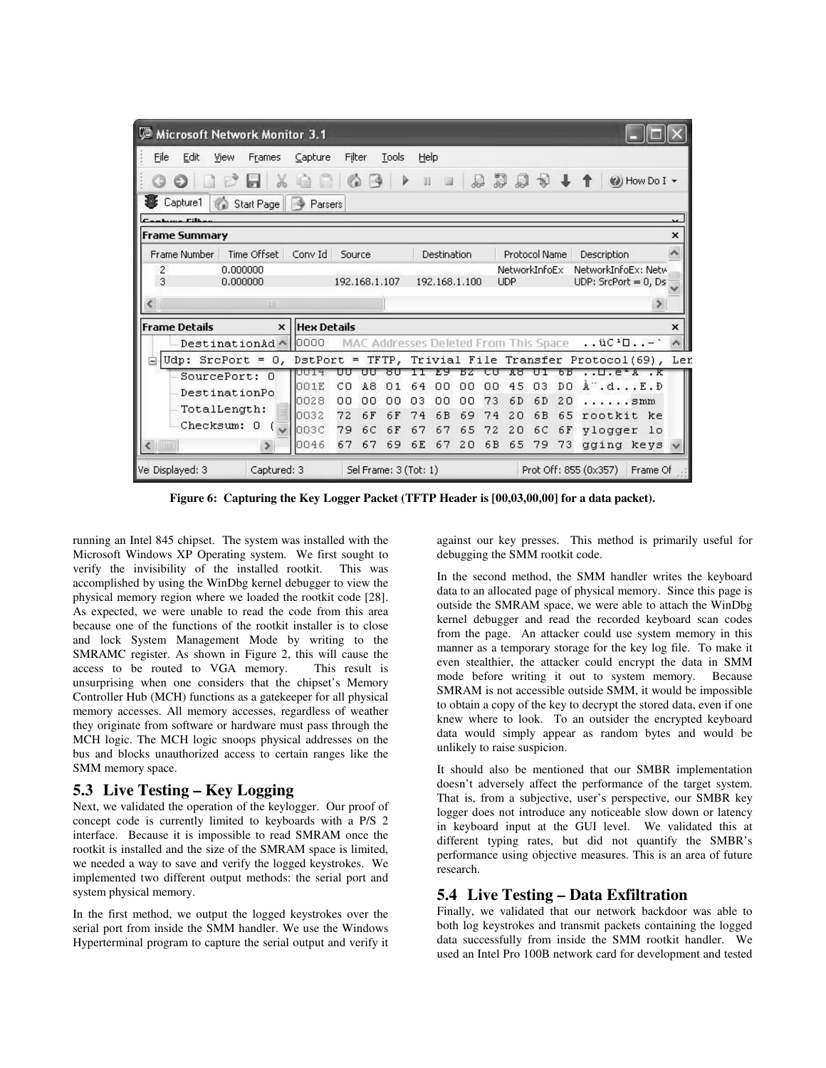| Microsoft Network Monitor 3.1                                             |                                                                                                                                                                                                                                                                                                                                                                                                                                                         |  |  |  |  |  |
|---------------------------------------------------------------------------|---------------------------------------------------------------------------------------------------------------------------------------------------------------------------------------------------------------------------------------------------------------------------------------------------------------------------------------------------------------------------------------------------------------------------------------------------------|--|--|--|--|--|
| File<br>Edit<br><b>View</b><br>Frames                                     | Filter<br>Tools<br>Help<br>Capture                                                                                                                                                                                                                                                                                                                                                                                                                      |  |  |  |  |  |
| 63<br>la n<br>$\rightarrow$<br>UU.<br>$\bullet$ How Do I $\star$          |                                                                                                                                                                                                                                                                                                                                                                                                                                                         |  |  |  |  |  |
| Capture1                                                                  | Start Page   + Parsers                                                                                                                                                                                                                                                                                                                                                                                                                                  |  |  |  |  |  |
|                                                                           |                                                                                                                                                                                                                                                                                                                                                                                                                                                         |  |  |  |  |  |
| <b>Frame Summary</b>                                                      | $\boldsymbol{\mathsf{x}}$                                                                                                                                                                                                                                                                                                                                                                                                                               |  |  |  |  |  |
| Time Offset<br>Frame Number                                               | Protocol Name<br>Conv Id<br>Destination<br>Description<br>Source                                                                                                                                                                                                                                                                                                                                                                                        |  |  |  |  |  |
| 0.000000<br>2<br>$\overline{3}$<br>0.000000                               | NetworkInfoEx<br>NetworkInfoEx: Netw<br>192.168.1.107<br>192.168.1.100<br>UDP: $SrCPort = 0$ , $Ds$<br><b>UDP</b>                                                                                                                                                                                                                                                                                                                                       |  |  |  |  |  |
| THE                                                                       |                                                                                                                                                                                                                                                                                                                                                                                                                                                         |  |  |  |  |  |
| <b>Frame Details</b><br>$\mathbf{x}$                                      | <b>Hex Details</b><br>x                                                                                                                                                                                                                                                                                                                                                                                                                                 |  |  |  |  |  |
| $\sim$ Destination Ad $\sim$                                              | MAC Addresses Deleted From This Space  uC 'D.<br>0000                                                                                                                                                                                                                                                                                                                                                                                                   |  |  |  |  |  |
|                                                                           | Udp: SrcPort = 0, DstPort = TFTP, Trivial File Transfer Protocol(69),<br>Ler.                                                                                                                                                                                                                                                                                                                                                                           |  |  |  |  |  |
| SourcePort: 0<br>DestinationPo<br>TotalLength:<br>- Checksum: 0<br>$\sim$ | ьь<br>$A^{\prime\prime}$ .d $E.D$<br>45<br>03<br>DO.<br>1001E<br>CО<br>A8<br>64<br>00<br>00<br>00<br>01<br>0028<br>03<br>6D<br>20<br>oο<br>oο<br>00<br>00<br>00<br>73<br>6 <sub>D</sub><br>. Smm<br>nnsz<br>72<br>6F<br>6 F<br>74<br>6 B<br>69<br>74<br>20<br>6 B<br>65<br>rootkit ke<br>1003C<br>79<br>6C<br>6F<br>67<br>67<br>65<br>72<br>20<br>6C<br>6F<br>vlogger<br>10<br>0046<br>67<br>67<br>67<br>6B 65<br>69<br>6E<br>20<br>79 73<br>gging keys |  |  |  |  |  |
| Ve Displayed: 3<br>Captured: 3                                            | Prot Off: 855 (0x357)<br>Sel Frame: 3 (Tot: 1)<br>Frame Of                                                                                                                                                                                                                                                                                                                                                                                              |  |  |  |  |  |

**Figure 6: Capturing the Key Logger Packet (TFTP Header is [00,03,00,00] for a data packet).**

running an Intel 845 chipset. The system was installed with the Microsoft Windows XP Operating system. We first sought to verify the invisibility of the installed rootkit. This was accomplished by using the WinDbg kernel debugger to view the physical memory region where we loaded the rootkit code [28]. As expected, we were unable to read the code from this area because one of the functions of the rootkit installer is to close and lock System Management Mode by writing to the SMRAMC register. As shown in Figure 2, this will cause the access to be routed to VGA memory. This result is unsurprising when one considers that the chipset's Memory Controller Hub (MCH) functions as a gatekeeper for all physical memory accesses. All memory accesses, regardless of weather they originate from software or hardware must pass through the MCH logic. The MCH logic snoops physical addresses on the bus and blocks unauthorized access to certain ranges like the SMM memory space.

#### **5.3 Live Testing – Key Logging**

Next, we validated the operation of the keylogger. Our proof of concept code is currently limited to keyboards with a P/S 2 interface. Because it is impossible to read SMRAM once the rootkit is installed and the size of the SMRAM space is limited, we needed a way to save and verify the logged keystrokes. We implemented two different output methods: the serial port and system physical memory.

In the first method, we output the logged keystrokes over the serial port from inside the SMM handler. We use the Windows Hyperterminal program to capture the serial output and verify it against our key presses. This method is primarily useful for debugging the SMM rootkit code.

In the second method, the SMM handler writes the keyboard data to an allocated page of physical memory. Since this page is outside the SMRAM space, we were able to attach the WinDbg kernel debugger and read the recorded keyboard scan codes from the page. An attacker could use system memory in this manner as a temporary storage for the key log file. To make it even stealthier, the attacker could encrypt the data in SMM mode before writing it out to system memory. Because SMRAM is not accessible outside SMM, it would be impossible to obtain a copy of the key to decrypt the stored data, even if one knew where to look. To an outsider the encrypted keyboard data would simply appear as random bytes and would be unlikely to raise suspicion.

It should also be mentioned that our SMBR implementation doesn't adversely affect the performance of the target system. That is, from a subjective, user's perspective, our SMBR key logger does not introduce any noticeable slow down or latency in keyboard input at the GUI level. We validated this at different typing rates, but did not quantify the SMBR's performance using objective measures. This is an area of future research.

#### **5.4 Live Testing – Data Exfiltration**

Finally, we validated that our network backdoor was able to both log keystrokes and transmit packets containing the logged data successfully from inside the SMM rootkit handler. We used an Intel Pro 100B network card for development and tested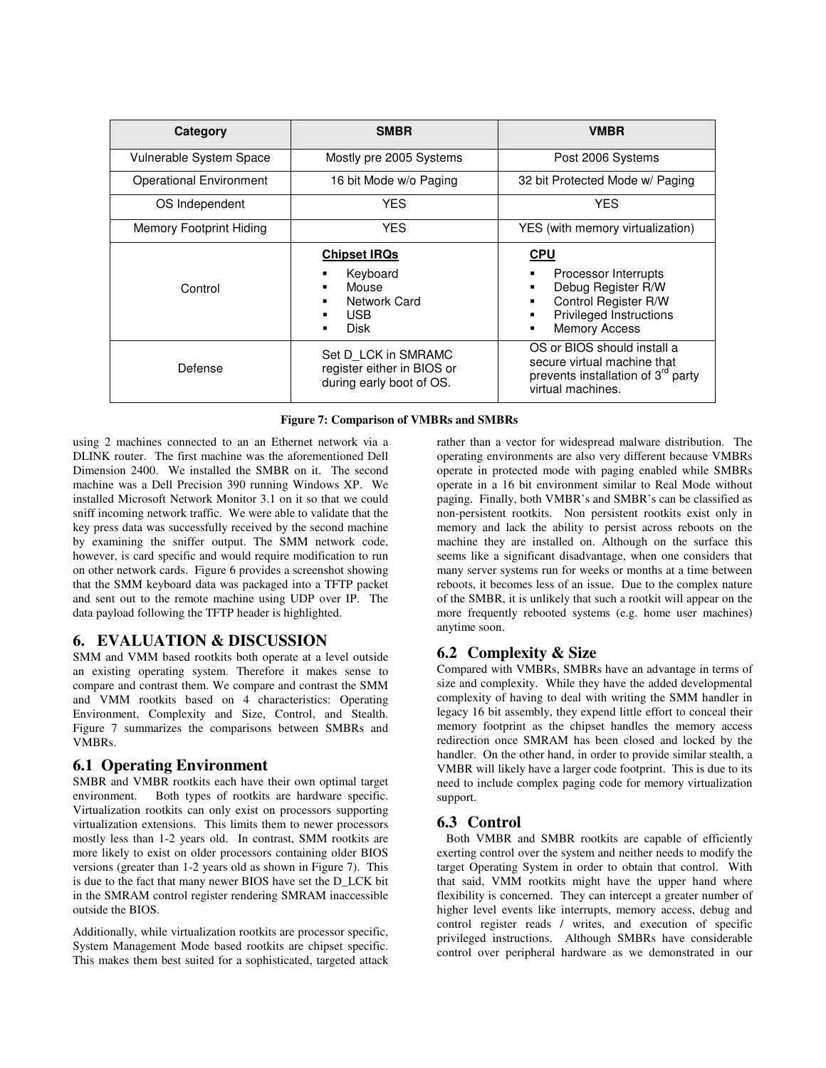| Category                       | <b>SMBR</b>                                                                   | <b>VMBR</b>                                                                                                                                |  |
|--------------------------------|-------------------------------------------------------------------------------|--------------------------------------------------------------------------------------------------------------------------------------------|--|
| Vulnerable System Space        | Mostly pre 2005 Systems                                                       | Post 2006 Systems                                                                                                                          |  |
| <b>Operational Environment</b> | 16 bit Mode w/o Paging                                                        | 32 bit Protected Mode w/ Paging                                                                                                            |  |
| OS Independent                 | <b>YES</b>                                                                    | <b>YES</b>                                                                                                                                 |  |
| Memory Footprint Hiding        | YES.                                                                          | YES (with memory virtualization)                                                                                                           |  |
| Control                        | <b>Chipset IRQs</b><br>Keyboard<br>Mouse<br>Network Card<br>USB<br>Disk       | <b>CPU</b><br>Processor Interrupts<br>Debug Register R/W<br>Control Register R/W<br><b>Privileged Instructions</b><br><b>Memory Access</b> |  |
| Defense                        | Set D LCK in SMRAMC<br>register either in BIOS or<br>during early boot of OS. | OS or BIOS should install a<br>secure virtual machine that<br>prevents installation of 3 <sup>rd</sup> party<br>virtual machines.          |  |

**Figure 7: Comparison of VMBRs and SMBRs** 

using 2 machines connected to an an Ethernet network via a DLINK router. The first machine was the aforementioned Dell Dimension 2400. We installed the SMBR on it. The second machine was a Dell Precision 390 running Windows XP. We installed Microsoft Network Monitor 3.1 on it so that we could sniff incoming network traffic. We were able to validate that the key press data was successfully received by the second machine by examining the sniffer output. The SMM network code, however, is card specific and would require modification to run on other network cards. Figure 6 provides a screenshot showing that the SMM keyboard data was packaged into a TFTP packet and sent out to the remote machine using UDP over IP. The data payload following the TFTP header is highlighted.

# **6. EVALUATION & DISCUSSION**

SMM and VMM based rootkits both operate at a level outside an existing operating system. Therefore it makes sense to compare and contrast them. We compare and contrast the SMM and VMM rootkits based on 4 characteristics: Operating Environment, Complexity and Size, Control, and Stealth. Figure 7 summarizes the comparisons between SMBRs and VMBRs.

# **6.1 Operating Environment**

SMBR and VMBR rootkits each have their own optimal target environment. Both types of rootkits are hardware specific. Virtualization rootkits can only exist on processors supporting virtualization extensions. This limits them to newer processors mostly less than 1-2 years old. In contrast, SMM rootkits are more likely to exist on older processors containing older BIOS versions (greater than 1-2 years old as shown in Figure 7). This is due to the fact that many newer BIOS have set the D\_LCK bit in the SMRAM control register rendering SMRAM inaccessible outside the BIOS.

Additionally, while virtualization rootkits are processor specific, System Management Mode based rootkits are chipset specific. This makes them best suited for a sophisticated, targeted attack rather than a vector for widespread malware distribution. The operating environments are also very different because VMBRs operate in protected mode with paging enabled while SMBRs operate in a 16 bit environment similar to Real Mode without paging. Finally, both VMBR's and SMBR's can be classified as non-persistent rootkits. Non persistent rootkits exist only in memory and lack the ability to persist across reboots on the machine they are installed on. Although on the surface this seems like a significant disadvantage, when one considers that many server systems run for weeks or months at a time between reboots, it becomes less of an issue. Due to the complex nature of the SMBR, it is unlikely that such a rootkit will appear on the more frequently rebooted systems (e.g. home user machines) anytime soon.

# **6.2 Complexity & Size**

Compared with VMBRs, SMBRs have an advantage in terms of size and complexity. While they have the added developmental complexity of having to deal with writing the SMM handler in legacy 16 bit assembly, they expend little effort to conceal their memory footprint as the chipset handles the memory access redirection once SMRAM has been closed and locked by the handler. On the other hand, in order to provide similar stealth, a VMBR will likely have a larger code footprint. This is due to its need to include complex paging code for memory virtualization support.

# **6.3 Control**

Both VMBR and SMBR rootkits are capable of efficiently exerting control over the system and neither needs to modify the target Operating System in order to obtain that control. With that said, VMM rootkits might have the upper hand where flexibility is concerned. They can intercept a greater number of higher level events like interrupts, memory access, debug and control register reads / writes, and execution of specific privileged instructions. Although SMBRs have considerable control over peripheral hardware as we demonstrated in our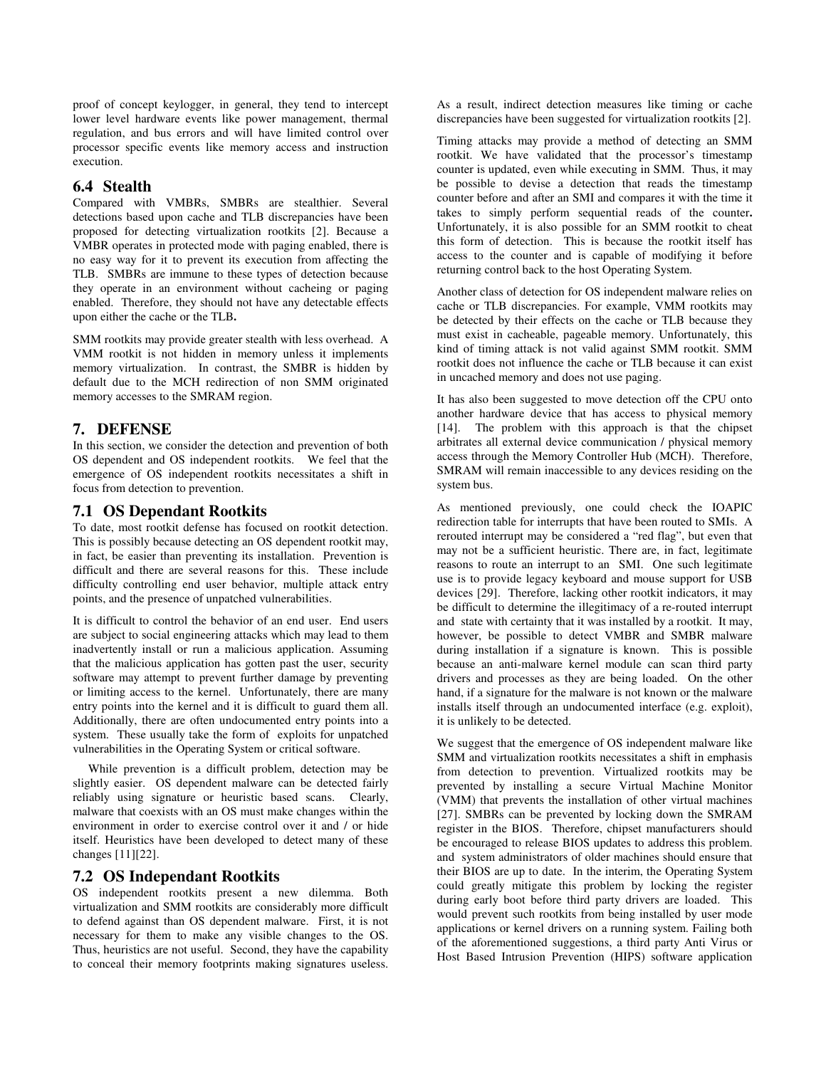proof of concept keylogger, in general, they tend to intercept lower level hardware events like power management, thermal regulation, and bus errors and will have limited control over processor specific events like memory access and instruction execution.

#### **6.4 Stealth**

Compared with VMBRs, SMBRs are stealthier. Several detections based upon cache and TLB discrepancies have been proposed for detecting virtualization rootkits [2]. Because a VMBR operates in protected mode with paging enabled, there is no easy way for it to prevent its execution from affecting the TLB. SMBRs are immune to these types of detection because they operate in an environment without cacheing or paging enabled. Therefore, they should not have any detectable effects upon either the cache or the TLB**.**

SMM rootkits may provide greater stealth with less overhead. A VMM rootkit is not hidden in memory unless it implements memory virtualization. In contrast, the SMBR is hidden by default due to the MCH redirection of non SMM originated memory accesses to the SMRAM region.

#### **7. DEFENSE**

In this section, we consider the detection and prevention of both OS dependent and OS independent rootkits. We feel that the emergence of OS independent rootkits necessitates a shift in focus from detection to prevention.

#### **7.1 OS Dependant Rootkits**

To date, most rootkit defense has focused on rootkit detection. This is possibly because detecting an OS dependent rootkit may, in fact, be easier than preventing its installation. Prevention is difficult and there are several reasons for this. These include difficulty controlling end user behavior, multiple attack entry points, and the presence of unpatched vulnerabilities.

It is difficult to control the behavior of an end user. End users are subject to social engineering attacks which may lead to them inadvertently install or run a malicious application. Assuming that the malicious application has gotten past the user, security software may attempt to prevent further damage by preventing or limiting access to the kernel. Unfortunately, there are many entry points into the kernel and it is difficult to guard them all. Additionally, there are often undocumented entry points into a system. These usually take the form of exploits for unpatched vulnerabilities in the Operating System or critical software.

While prevention is a difficult problem, detection may be slightly easier. OS dependent malware can be detected fairly reliably using signature or heuristic based scans. Clearly, malware that coexists with an OS must make changes within the environment in order to exercise control over it and / or hide itself. Heuristics have been developed to detect many of these changes [11][22].

# **7.2 OS Independant Rootkits**

OS independent rootkits present a new dilemma. Both virtualization and SMM rootkits are considerably more difficult to defend against than OS dependent malware. First, it is not necessary for them to make any visible changes to the OS. Thus, heuristics are not useful. Second, they have the capability to conceal their memory footprints making signatures useless. As a result, indirect detection measures like timing or cache discrepancies have been suggested for virtualization rootkits [2].

Timing attacks may provide a method of detecting an SMM rootkit. We have validated that the processor's timestamp counter is updated, even while executing in SMM. Thus, it may be possible to devise a detection that reads the timestamp counter before and after an SMI and compares it with the time it takes to simply perform sequential reads of the counter**.** Unfortunately, it is also possible for an SMM rootkit to cheat this form of detection. This is because the rootkit itself has access to the counter and is capable of modifying it before returning control back to the host Operating System.

Another class of detection for OS independent malware relies on cache or TLB discrepancies. For example, VMM rootkits may be detected by their effects on the cache or TLB because they must exist in cacheable, pageable memory. Unfortunately, this kind of timing attack is not valid against SMM rootkit. SMM rootkit does not influence the cache or TLB because it can exist in uncached memory and does not use paging.

It has also been suggested to move detection off the CPU onto another hardware device that has access to physical memory [14]. The problem with this approach is that the chipset arbitrates all external device communication / physical memory access through the Memory Controller Hub (MCH). Therefore, SMRAM will remain inaccessible to any devices residing on the system bus.

As mentioned previously, one could check the IOAPIC redirection table for interrupts that have been routed to SMIs. A rerouted interrupt may be considered a "red flag", but even that may not be a sufficient heuristic. There are, in fact, legitimate reasons to route an interrupt to an SMI. One such legitimate use is to provide legacy keyboard and mouse support for USB devices [29]. Therefore, lacking other rootkit indicators, it may be difficult to determine the illegitimacy of a re-routed interrupt and state with certainty that it was installed by a rootkit. It may, however, be possible to detect VMBR and SMBR malware during installation if a signature is known. This is possible because an anti-malware kernel module can scan third party drivers and processes as they are being loaded. On the other hand, if a signature for the malware is not known or the malware installs itself through an undocumented interface (e.g. exploit), it is unlikely to be detected.

We suggest that the emergence of OS independent malware like SMM and virtualization rootkits necessitates a shift in emphasis from detection to prevention. Virtualized rootkits may be prevented by installing a secure Virtual Machine Monitor (VMM) that prevents the installation of other virtual machines [27]. SMBRs can be prevented by locking down the SMRAM register in the BIOS. Therefore, chipset manufacturers should be encouraged to release BIOS updates to address this problem. and system administrators of older machines should ensure that their BIOS are up to date. In the interim, the Operating System could greatly mitigate this problem by locking the register during early boot before third party drivers are loaded. This would prevent such rootkits from being installed by user mode applications or kernel drivers on a running system. Failing both of the aforementioned suggestions, a third party Anti Virus or Host Based Intrusion Prevention (HIPS) software application